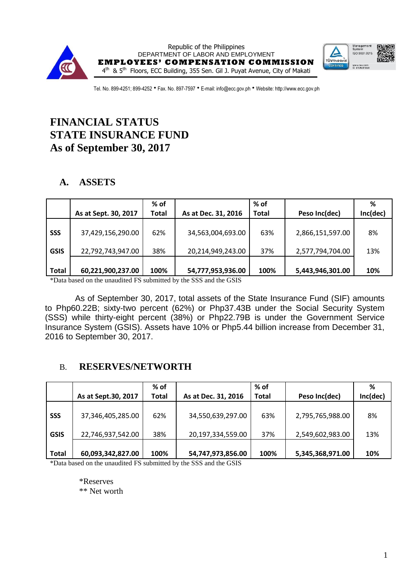

Republic of the Philippines DEPARTMENT OF LABOR AND EMPLOYMENT **EMPLOYEES' COMPENSATION COMMISSION** 4 th & 5<sup>th</sup> Floors, ECC Building, 355 Sen. Gil J. Puyat Avenue, City of Makati



Tel. No. 899-4251; 899-4252 • Fax. No. 897-7597 • E-mail: info@ecc.gov.ph • Website: http://www.ecc.gov.ph

# **FINANCIAL STATUS STATE INSURANCE FUND As of September 30, 2017**

# **A. ASSETS**

|              | As at Sept. 30, 2017 | $%$ of<br><b>Total</b> | As at Dec. 31, 2016 | % of<br><b>Total</b> | Peso Inc(dec)    | %<br>Inc(dec) |
|--------------|----------------------|------------------------|---------------------|----------------------|------------------|---------------|
| <b>SSS</b>   | 37,429,156,290.00    | 62%                    | 34,563,004,693.00   | 63%                  | 2,866,151,597.00 | 8%            |
| <b>GSIS</b>  | 22,792,743,947.00    | 38%                    | 20,214,949,243.00   | 37%                  | 2,577,794,704.00 | 13%           |
| <b>Total</b> | 60,221,900,237.00    | 100%                   | 54,777,953,936.00   | 100%                 | 5,443,946,301.00 | 10%           |

\*Data based on the unaudited FS submitted by the SSS and the GSIS

As of September 30, 2017, total assets of the State Insurance Fund (SIF) amounts to Php60.22B; sixty-two percent (62%) or Php37.43B under the Social Security System (SSS) while thirty-eight percent (38%) or Php22.79B is under the Government Service Insurance System (GSIS). Assets have 10% or Php5.44 billion increase from December 31, 2016 to September 30, 2017.

# B. **RESERVES/NETWORTH**

|                           |                                        | $%$ of       |                                        | % of         |                                      | %         |
|---------------------------|----------------------------------------|--------------|----------------------------------------|--------------|--------------------------------------|-----------|
|                           | As at Sept.30, 2017                    | <b>Total</b> | As at Dec. 31, 2016                    | <b>Total</b> | Peso Inc(dec)                        | Inc(dec)  |
| <b>SSS</b><br><b>GSIS</b> | 37,346,405,285.00<br>22,746,937,542.00 | 62%<br>38%   | 34,550,639,297.00<br>20,197,334,559.00 | 63%<br>37%   | 2,795,765,988.00<br>2,549,602,983.00 | 8%<br>13% |
| <b>Total</b>              | 60,093,342,827.00                      | 100%         | 54,747,973,856.00                      | 100%         | 5,345,368,971.00                     | 10%       |

\*Data based on the unaudited FS submitted by the SSS and the GSIS

\*Reserves \*\* Net worth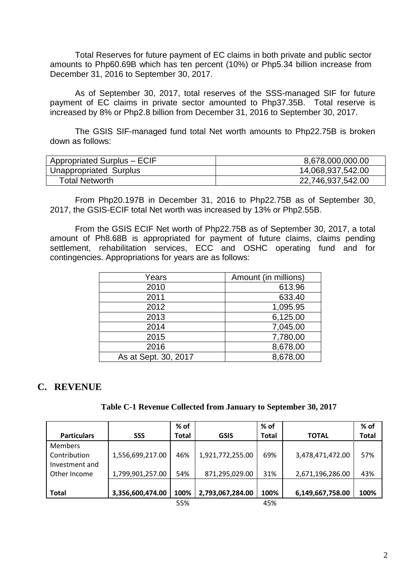Total Reserves for future payment of EC claims in both private and public sector amounts to Php60.69B which has ten percent (10%) or Php5.34 billion increase from December 31, 2016 to September 30, 2017.

As of September 30, 2017, total reserves of the SSS-managed SIF for future payment of EC claims in private sector amounted to Php37.35B. Total reserve is increased by 8% or Php2.8 billion from December 31, 2016 to September 30, 2017.

The GSIS SIF-managed fund total Net worth amounts to Php22.75B is broken down as follows:

| Appropriated Surplus - ECIF | 8,678,000,000.00  |
|-----------------------------|-------------------|
| Unappropriated Surplus      | 14,068,937,542.00 |
| Total Networth              | 22,746,937,542.00 |

From Php20.197B in December 31, 2016 to Php22.75B as of September 30, 2017, the GSIS-ECIF total Net worth was increased by 13% or Php2.55B.

From the GSIS ECIF Net worth of Php22.75B as of September 30, 2017, a total amount of Ph8.68B is appropriated for payment of future claims, claims pending settlement, rehabilitation services, ECC and OSHC operating fund and for contingencies. Appropriations for years are as follows:

| Years                | Amount (in millions) |
|----------------------|----------------------|
| 2010                 | 613.96               |
| 2011                 | 633.40               |
| 2012                 | 1,095.95             |
| 2013                 | 6,125.00             |
| 2014                 | 7,045.00             |
| 2015                 | 7,780.00             |
| 2016                 | 8,678.00             |
| As at Sept. 30, 2017 | 8,678.00             |

# **C. REVENUE**

| Table C-1 Revenue Collected from January to September 30, 2017 |  |  |
|----------------------------------------------------------------|--|--|
|                                                                |  |  |

|                    |                  | % of         |                  | % of         |                  | % of         |
|--------------------|------------------|--------------|------------------|--------------|------------------|--------------|
| <b>Particulars</b> | SSS              | <b>Total</b> | <b>GSIS</b>      | <b>Total</b> | <b>TOTAL</b>     | <b>Total</b> |
| <b>Members</b>     |                  |              |                  |              |                  |              |
| Contribution       | 1,556,699,217.00 | 46%          | 1,921,772,255.00 | 69%          | 3,478,471,472.00 | 57%          |
| Investment and     |                  |              |                  |              |                  |              |
| Other Income       | 1,799,901,257.00 | 54%          | 871,295,029.00   | 31%          | 2,671,196,286.00 | 43%          |
|                    |                  |              |                  |              |                  |              |
| <b>Total</b>       | 3,356,600,474.00 | 100%         | 2,793,067,284.00 | 100%         | 6,149,667,758.00 | 100%         |
|                    |                  | 55%          |                  | 45%          |                  |              |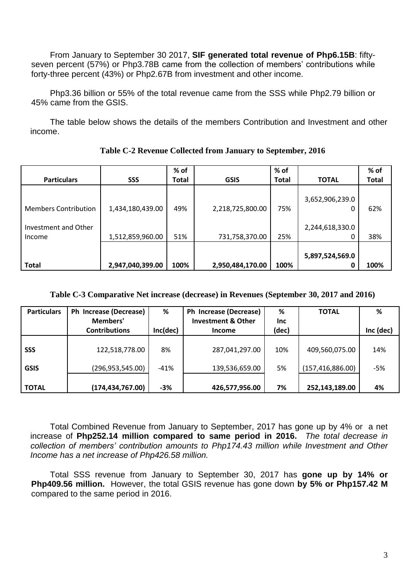From January to September 30 2017, **SIF generated total revenue of Php6.15B**: fiftyseven percent (57%) or Php3.78B came from the collection of members' contributions while forty-three percent (43%) or Php2.67B from investment and other income.

Php3.36 billion or 55% of the total revenue came from the SSS while Php2.79 billion or 45% came from the GSIS.

The table below shows the details of the members Contribution and Investment and other income.

|                                                               |                                      | % of         |                                    | % of         |                                    | % of       |
|---------------------------------------------------------------|--------------------------------------|--------------|------------------------------------|--------------|------------------------------------|------------|
| <b>Particulars</b>                                            | <b>SSS</b>                           | <b>Total</b> | <b>GSIS</b>                        | <b>Total</b> | <b>TOTAL</b>                       | Total      |
| <b>Members Contribution</b><br>Investment and Other<br>Income | 1,434,180,439.00<br>1,512,859,960.00 | 49%<br>51%   | 2,218,725,800.00<br>731,758,370.00 | 75%<br>25%   | 3,652,906,239.0<br>2,244,618,330.0 | 62%<br>38% |
| <b>Total</b>                                                  | 2,947,040,399.00                     | 100%         | 2,950,484,170.00                   | 100%         | 5,897,524,569.0<br>n               | 100%       |

**Table C-2 Revenue Collected from January to September, 2016**

### **Table C-3 Comparative Net increase (decrease) in Revenues (September 30, 2017 and 2016)**

| <b>Particulars</b>        | Ph Increase (Decrease)<br>Members'   | %            | Ph Increase (Decrease)<br><b>Investment &amp; Other</b> | %<br>Inc. | <b>TOTAL</b>                         | %            |
|---------------------------|--------------------------------------|--------------|---------------------------------------------------------|-----------|--------------------------------------|--------------|
|                           | <b>Contributions</b>                 | Inc(dec)     | <b>Income</b>                                           | (dec)     |                                      | Inc (dec)    |
| <b>SSS</b><br><b>GSIS</b> | 122,518,778.00<br>(296, 953, 545.00) | 8%<br>$-41%$ | 287,041,297.00<br>139,536,659.00                        | 10%<br>5% | 409,560,075.00<br>(157, 416, 886.00) | 14%<br>$-5%$ |
| <b>TOTAL</b>              | (174, 434, 767.00)                   | $-3%$        | 426,577,956.00                                          | 7%        | 252,143,189.00                       | 4%           |

Total Combined Revenue from January to September, 2017 has gone up by 4% or a net increase of **Php252.14 million compared to same period in 2016.** *The total decrease in collection of members' contribution amounts to Php174.43 million while Investment and Other Income has a net increase of Php426.58 million.*

Total SSS revenue from January to September 30, 2017 has **gone up by 14% or Php409.56 million.** However, the total GSIS revenue has gone down **by 5% or Php157.42 M** compared to the same period in 2016.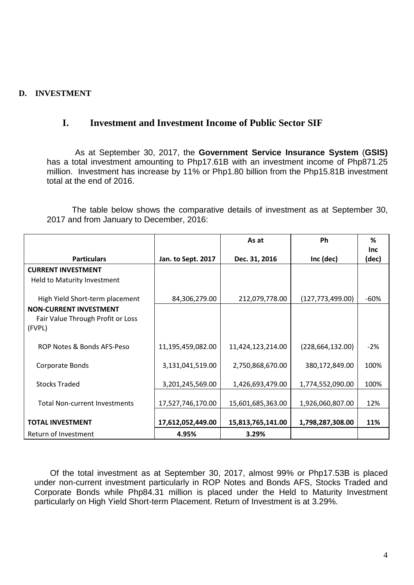### **D. INVESTMENT**

# **I. Investment and Investment Income of Public Sector SIF**

As at September 30, 2017, the **Government Service Insurance System** (**GSIS)**  has a total investment amounting to Php17.61B with an investment income of Php871.25 million. Investment has increase by 11% or Php1.80 billion from the Php15.81B investment total at the end of 2016.

The table below shows the comparative details of investment as at September 30, 2017 and from January to December, 2016:

|                                                                              |                    | As at             | <b>Ph</b>          | ℅                   |
|------------------------------------------------------------------------------|--------------------|-------------------|--------------------|---------------------|
| <b>Particulars</b>                                                           | Jan. to Sept. 2017 | Dec. 31, 2016     | Inc (dec)          | <b>Inc</b><br>(dec) |
| <b>CURRENT INVESTMENT</b>                                                    |                    |                   |                    |                     |
| Held to Maturity Investment                                                  |                    |                   |                    |                     |
| High Yield Short-term placement                                              | 84,306,279.00      | 212,079,778.00    | (127, 773, 499.00) | -60%                |
| <b>NON-CURRENT INVESTMENT</b><br>Fair Value Through Profit or Loss<br>(FVPL) |                    |                   |                    |                     |
| ROP Notes & Bonds AFS-Peso                                                   | 11,195,459,082.00  | 11,424,123,214.00 | (228, 664, 132.00) | $-2%$               |
| Corporate Bonds                                                              | 3,131,041,519.00   | 2,750,868,670.00  | 380,172,849.00     | 100%                |
| <b>Stocks Traded</b>                                                         | 3,201,245,569.00   | 1,426,693,479.00  | 1,774,552,090.00   | 100%                |
| <b>Total Non-current Investments</b>                                         | 17,527,746,170.00  | 15,601,685,363.00 | 1,926,060,807.00   | 12%                 |
| <b>TOTAL INVESTMENT</b>                                                      | 17,612,052,449.00  | 15,813,765,141.00 | 1,798,287,308.00   | 11%                 |
| Return of Investment                                                         | 4.95%              | 3.29%             |                    |                     |

Of the total investment as at September 30, 2017, almost 99% or Php17.53B is placed under non-current investment particularly in ROP Notes and Bonds AFS, Stocks Traded and Corporate Bonds while Php84.31 million is placed under the Held to Maturity Investment particularly on High Yield Short-term Placement. Return of Investment is at 3.29%.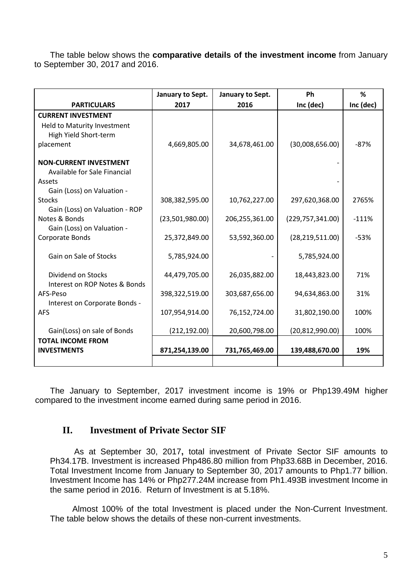The table below shows the **comparative details of the investment income** from January to September 30, 2017 and 2016.

|                                                                                                | January to Sept. | January to Sept. | Ph                 | %         |
|------------------------------------------------------------------------------------------------|------------------|------------------|--------------------|-----------|
| <b>PARTICULARS</b>                                                                             | 2017             | 2016             | Inc (dec)          | Inc (dec) |
| <b>CURRENT INVESTMENT</b><br>Held to Maturity Investment<br>High Yield Short-term<br>placement | 4,669,805.00     | 34,678,461.00    | (30,008,656.00)    | $-87%$    |
| <b>NON-CURRENT INVESTMENT</b><br>Available for Sale Financial<br>Assets                        |                  |                  |                    |           |
| Gain (Loss) on Valuation -<br><b>Stocks</b><br>Gain (Loss) on Valuation - ROP                  | 308,382,595.00   | 10,762,227.00    | 297,620,368.00     | 2765%     |
| Notes & Bonds<br>Gain (Loss) on Valuation -                                                    | (23,501,980.00)  | 206,255,361.00   | (229, 757, 341.00) | $-111%$   |
| Corporate Bonds                                                                                | 25,372,849.00    | 53,592,360.00    | (28, 219, 511.00)  | $-53%$    |
| Gain on Sale of Stocks                                                                         | 5,785,924.00     |                  | 5,785,924.00       |           |
| Dividend on Stocks<br>Interest on ROP Notes & Bonds                                            | 44,479,705.00    | 26,035,882.00    | 18,443,823.00      | 71%       |
| AFS-Peso<br>Interest on Corporate Bonds -                                                      | 398,322,519.00   | 303,687,656.00   | 94,634,863.00      | 31%       |
| <b>AFS</b>                                                                                     | 107,954,914.00   | 76,152,724.00    | 31,802,190.00      | 100%      |
| Gain(Loss) on sale of Bonds                                                                    | (212, 192.00)    | 20,600,798.00    | (20, 812, 990.00)  | 100%      |
| <b>TOTAL INCOME FROM</b><br><b>INVESTMENTS</b>                                                 | 871,254,139.00   | 731,765,469.00   | 139,488,670.00     | 19%       |

The January to September, 2017 investment income is 19% or Php139.49M higher compared to the investment income earned during same period in 2016.

# **II. Investment of Private Sector SIF**

 As at September 30, 2017**,** total investment of Private Sector SIF amounts to Ph34.17B. Investment is increased Php486.80 million from Php33.68B in December, 2016. Total Investment Income from January to September 30, 2017 amounts to Php1.77 billion. Investment Income has 14% or Php277.24M increase from Ph1.493B investment Income in the same period in 2016. Return of Investment is at 5.18%.

Almost 100% of the total Investment is placed under the Non-Current Investment. The table below shows the details of these non-current investments.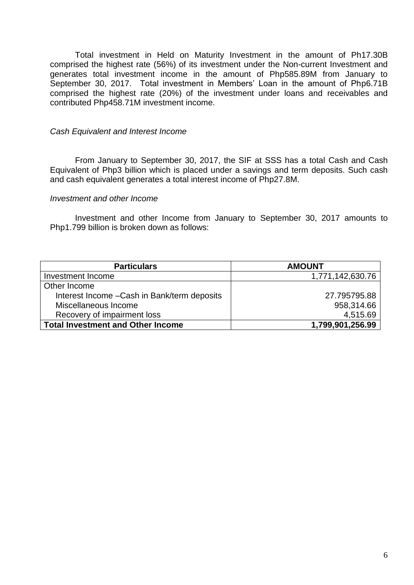Total investment in Held on Maturity Investment in the amount of Ph17.30B comprised the highest rate (56%) of its investment under the Non-current Investment and generates total investment income in the amount of Php585.89M from January to September 30, 2017. Total investment in Members' Loan in the amount of Php6.71B comprised the highest rate (20%) of the investment under loans and receivables and contributed Php458.71M investment income.

#### *Cash Equivalent and Interest Income*

From January to September 30, 2017, the SIF at SSS has a total Cash and Cash Equivalent of Php3 billion which is placed under a savings and term deposits. Such cash and cash equivalent generates a total interest income of Php27.8M.

#### *Investment and other Income*

Investment and other Income from January to September 30, 2017 amounts to Php1.799 billion is broken down as follows:

| <b>Particulars</b>                           | <b>AMOUNT</b>    |
|----------------------------------------------|------------------|
| Investment Income                            | 1,771,142,630.76 |
| Other Income                                 |                  |
| Interest Income - Cash in Bank/term deposits | 27.795795.88     |
| Miscellaneous Income                         | 958,314.66       |
| Recovery of impairment loss                  | 4,515.69         |
| <b>Total Investment and Other Income</b>     | 1,799,901,256.99 |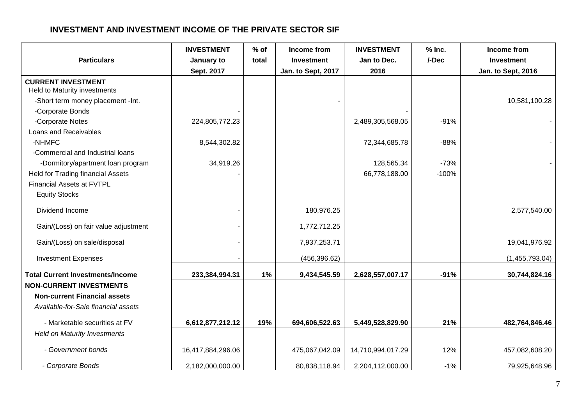# **INVESTMENT AND INVESTMENT INCOME OF THE PRIVATE SECTOR SIF**

| <b>Particulars</b>                                                                                           | <b>INVESTMENT</b><br>January to<br>Sept. 2017 | $%$ of<br>total | Income from<br>Investment<br>Jan. to Sept, 2017 | <b>INVESTMENT</b><br>Jan to Dec.<br>2016 | $%$ Inc.<br>/-Dec | Income from<br><b>Investment</b><br>Jan. to Sept, 2016 |
|--------------------------------------------------------------------------------------------------------------|-----------------------------------------------|-----------------|-------------------------------------------------|------------------------------------------|-------------------|--------------------------------------------------------|
| <b>CURRENT INVESTMENT</b>                                                                                    |                                               |                 |                                                 |                                          |                   |                                                        |
| Held to Maturity investments                                                                                 |                                               |                 |                                                 |                                          |                   |                                                        |
| -Short term money placement -Int.                                                                            |                                               |                 |                                                 |                                          |                   | 10,581,100.28                                          |
| -Corporate Bonds                                                                                             |                                               |                 |                                                 |                                          |                   |                                                        |
| -Corporate Notes                                                                                             | 224,805,772.23                                |                 |                                                 | 2,489,305,568.05                         | $-91%$            |                                                        |
| Loans and Receivables                                                                                        |                                               |                 |                                                 |                                          |                   |                                                        |
| -NHMFC                                                                                                       | 8,544,302.82                                  |                 |                                                 | 72,344,685.78                            | $-88%$            |                                                        |
| -Commercial and Industrial loans                                                                             |                                               |                 |                                                 |                                          |                   |                                                        |
| -Dormitory/apartment loan program                                                                            | 34,919.26                                     |                 |                                                 | 128,565.34                               | $-73%$            |                                                        |
| <b>Held for Trading financial Assets</b>                                                                     |                                               |                 |                                                 | 66,778,188.00                            | $-100%$           |                                                        |
| <b>Financial Assets at FVTPL</b>                                                                             |                                               |                 |                                                 |                                          |                   |                                                        |
| <b>Equity Stocks</b>                                                                                         |                                               |                 |                                                 |                                          |                   |                                                        |
| Dividend Income                                                                                              |                                               |                 | 180,976.25                                      |                                          |                   | 2,577,540.00                                           |
| Gain/(Loss) on fair value adjustment                                                                         |                                               |                 | 1,772,712.25                                    |                                          |                   |                                                        |
| Gain/(Loss) on sale/disposal                                                                                 |                                               |                 | 7,937,253.71                                    |                                          |                   | 19,041,976.92                                          |
| <b>Investment Expenses</b>                                                                                   |                                               |                 | (456, 396.62)                                   |                                          |                   | (1,455,793.04)                                         |
| <b>Total Current Investments/Income</b>                                                                      | 233,384,994.31                                | 1%              | 9,434,545.59                                    | 2,628,557,007.17                         | $-91%$            | 30,744,824.16                                          |
| <b>NON-CURRENT INVESTMENTS</b><br><b>Non-current Financial assets</b><br>Available-for-Sale financial assets |                                               |                 |                                                 |                                          |                   |                                                        |
| - Marketable securities at FV                                                                                | 6,612,877,212.12                              | 19%             | 694,606,522.63                                  | 5,449,528,829.90                         | 21%               | 482,764,846.46                                         |
| <b>Held on Maturity Investments</b>                                                                          |                                               |                 |                                                 |                                          |                   |                                                        |
| - Government bonds                                                                                           | 16,417,884,296.06                             |                 | 475,067,042.09                                  | 14,710,994,017.29                        | 12%               | 457,082,608.20                                         |
| - Corporate Bonds                                                                                            | 2,182,000,000.00                              |                 | 80,838,118.94                                   | 2,204,112,000.00                         | $-1%$             | 79,925,648.96                                          |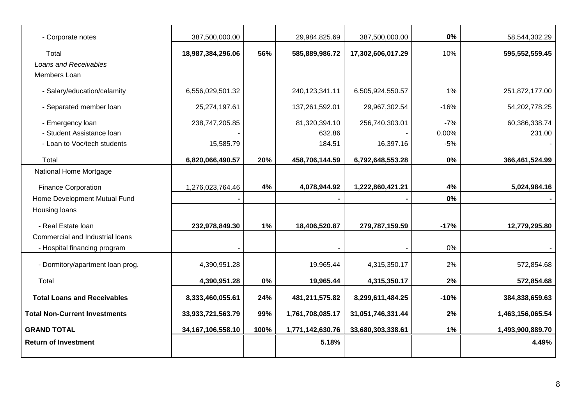| - Corporate notes                    | 387,500,000.00        |       | 29,984,825.69     | 387,500,000.00    | 0%     | 58,544,302.29    |
|--------------------------------------|-----------------------|-------|-------------------|-------------------|--------|------------------|
| Total                                | 18,987,384,296.06     | 56%   | 585,889,986.72    | 17,302,606,017.29 | 10%    | 595,552,559.45   |
| Loans and Receivables                |                       |       |                   |                   |        |                  |
| Members Loan                         |                       |       |                   |                   |        |                  |
| - Salary/education/calamity          | 6,556,029,501.32      |       | 240, 123, 341. 11 | 6,505,924,550.57  | 1%     | 251,872,177.00   |
| - Separated member loan              | 25,274,197.61         |       | 137,261,592.01    | 29,967,302.54     | $-16%$ | 54,202,778.25    |
| - Emergency loan                     | 238,747,205.85        |       | 81,320,394.10     | 256,740,303.01    | $-7%$  | 60,386,338.74    |
| - Student Assistance Ioan            |                       |       | 632.86            |                   | 0.00%  | 231.00           |
| - Loan to Voc/tech students          | 15,585.79             |       | 184.51            | 16,397.16         | $-5%$  |                  |
| Total                                | 6,820,066,490.57      | 20%   | 458,706,144.59    | 6,792,648,553.28  | 0%     | 366,461,524.99   |
| National Home Mortgage               |                       |       |                   |                   |        |                  |
| <b>Finance Corporation</b>           | 1,276,023,764.46      | 4%    | 4,078,944.92      | 1,222,860,421.21  | 4%     | 5,024,984.16     |
| Home Development Mutual Fund         |                       |       |                   |                   | 0%     |                  |
| Housing loans                        |                       |       |                   |                   |        |                  |
| - Real Estate loan                   | 232,978,849.30        | 1%    | 18,406,520.87     | 279,787,159.59    | $-17%$ | 12,779,295.80    |
| Commercial and Industrial loans      |                       |       |                   |                   |        |                  |
| - Hospital financing program         |                       |       |                   |                   | 0%     |                  |
| - Dormitory/apartment loan prog.     | 4,390,951.28          |       | 19,965.44         | 4,315,350.17      | 2%     | 572,854.68       |
| Total                                | 4,390,951.28          | $0\%$ | 19,965.44         | 4,315,350.17      | 2%     | 572,854.68       |
| <b>Total Loans and Receivables</b>   | 8,333,460,055.61      | 24%   | 481,211,575.82    | 8,299,611,484.25  | $-10%$ | 384,838,659.63   |
| <b>Total Non-Current Investments</b> | 33,933,721,563.79     | 99%   | 1,761,708,085.17  | 31,051,746,331.44 | 2%     | 1,463,156,065.54 |
| <b>GRAND TOTAL</b>                   | 34, 167, 106, 558. 10 | 100%  | 1,771,142,630.76  | 33,680,303,338.61 | 1%     | 1,493,900,889.70 |
| <b>Return of Investment</b>          |                       |       | 5.18%             |                   |        | 4.49%            |
|                                      |                       |       |                   |                   |        |                  |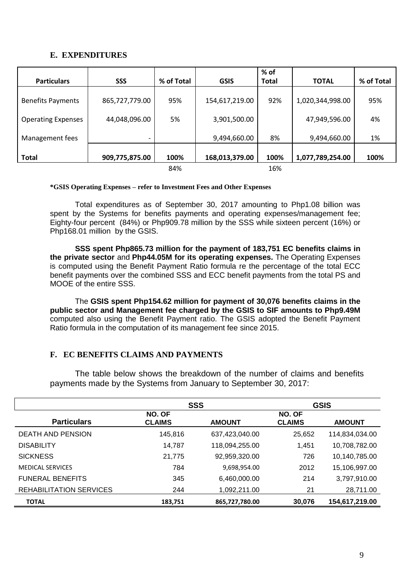#### **E. EXPENDITURES**

|                           |                |            |                | % of         |                  |            |
|---------------------------|----------------|------------|----------------|--------------|------------------|------------|
| <b>Particulars</b>        | <b>SSS</b>     | % of Total | <b>GSIS</b>    | <b>Total</b> | <b>TOTAL</b>     | % of Total |
| <b>Benefits Payments</b>  | 865,727,779.00 | 95%        | 154,617,219.00 | 92%          | 1,020,344,998.00 | 95%        |
| <b>Operating Expenses</b> | 44,048,096.00  | 5%         | 3,901,500.00   |              | 47,949,596.00    | 4%         |
| Management fees           |                |            | 9,494,660.00   | 8%           | 9,494,660.00     | 1%         |
| <b>Total</b>              | 909,775,875.00 | 100%       | 168,013,379.00 | 100%         | 1,077,789,254.00 | 100%       |
|                           |                | 84%        |                | 16%          |                  |            |

**\*GSIS Operating Expenses – refer to Investment Fees and Other Expenses**

Total expenditures as of September 30, 2017 amounting to Php1.08 billion was spent by the Systems for benefits payments and operating expenses/management fee; Eighty-four percent (84%) or Php909.78 million by the SSS while sixteen percent (16%) or Php168.01 million by the GSIS.

**SSS spent Php865.73 million for the payment of 183,751 EC benefits claims in the private sector** and **Php44.05M for its operating expenses.** The Operating Expenses is computed using the Benefit Payment Ratio formula re the percentage of the total ECC benefit payments over the combined SSS and ECC benefit payments from the total PS and MOOE of the entire SSS.

The **GSIS spent Php154.62 million for payment of 30,076 benefits claims in the public sector and Management fee charged by the GSIS to SIF amounts to Php9.49M** computed also using the Benefit Payment ratio. The GSIS adopted the Benefit Payment Ratio formula in the computation of its management fee since 2015.

### **F. EC BENEFITS CLAIMS AND PAYMENTS**

The table below shows the breakdown of the number of claims and benefits payments made by the Systems from January to September 30, 2017:

|                                | <b>SSS</b>              |                | <b>GSIS</b>             |                |  |
|--------------------------------|-------------------------|----------------|-------------------------|----------------|--|
| <b>Particulars</b>             | NO. OF<br><b>CLAIMS</b> | <b>AMOUNT</b>  | NO. OF<br><b>CLAIMS</b> | <b>AMOUNT</b>  |  |
| <b>DEATH AND PENSION</b>       | 145,816                 | 637,423,040.00 | 25,652                  | 114,834,034.00 |  |
| <b>DISABILITY</b>              | 14,787                  | 118,094,255.00 | 1,451                   | 10,708,782.00  |  |
| <b>SICKNESS</b>                | 21,775                  | 92,959,320.00  | 726                     | 10,140,785.00  |  |
| <b>MEDICAL SERVICES</b>        | 784                     | 9,698,954.00   | 2012                    | 15,106,997.00  |  |
| <b>FUNERAL BENEFITS</b>        | 345                     | 6,460,000.00   | 214                     | 3,797,910.00   |  |
| <b>REHABILITATION SERVICES</b> | 244                     | 1,092,211.00   | 21                      | 28,711.00      |  |
| <b>TOTAL</b>                   | 183,751                 | 865,727,780.00 | 30,076                  | 154,617,219.00 |  |